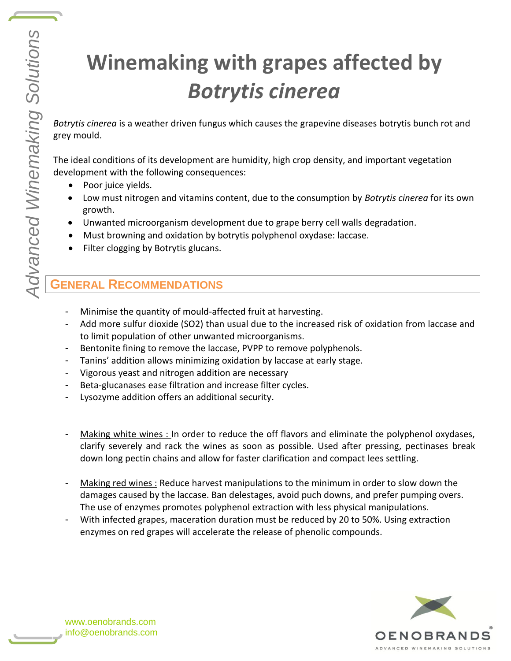# **Winemaking with grapes affected by**  *Botrytis cinerea*

*Botrytis cinerea* is a weather driven fungus which causes the grapevine diseases botrytis bunch rot and grey mould.

The ideal conditions of its development are humidity, high crop density, and important vegetation development with the following consequences:

- Poor juice yields.
- Low must nitrogen and vitamins content, due to the consumption by *Botrytis cinerea* for its own growth.
- Unwanted microorganism development due to grape berry cell walls degradation.
- Must browning and oxidation by botrytis polyphenol oxydase: laccase.
- Filter clogging by Botrytis glucans.

## **GENERAL RECOMMENDATIONS**

- Minimise the quantity of mould-affected fruit at harvesting.
- Add more sulfur dioxide (SO2) than usual due to the increased risk of oxidation from laccase and to limit population of other unwanted microorganisms.
- Bentonite fining to remove the laccase, PVPP to remove polyphenols.
- Tanins' addition allows minimizing oxidation by laccase at early stage.
- Vigorous yeast and nitrogen addition are necessary
- Beta-glucanases ease filtration and increase filter cycles.
- Lysozyme addition offers an additional security.
- Making white wines : In order to reduce the off flavors and eliminate the polyphenol oxydases, clarify severely and rack the wines as soon as possible. Used after pressing, pectinases break down long pectin chains and allow for faster clarification and compact lees settling.
- Making red wines : Reduce harvest manipulations to the minimum in order to slow down the damages caused by the laccase. Ban delestages, avoid puch downs, and prefer pumping overs. The use of enzymes promotes polyphenol extraction with less physical manipulations.
- With infected grapes, maceration duration must be reduced by 20 to 50%. Using extraction enzymes on red grapes will accelerate the release of phenolic compounds.



www.oenobrands.com info@oenobrands.com